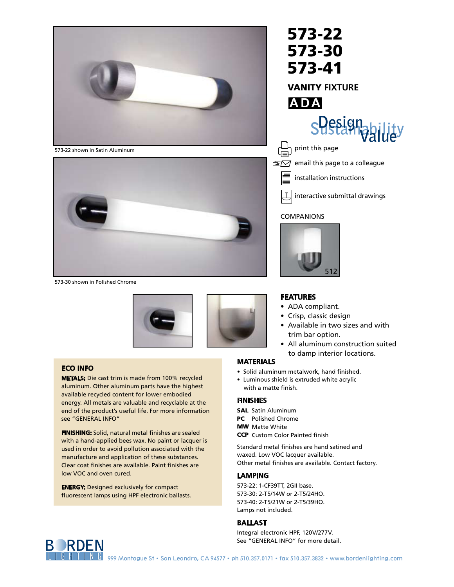

573-22 573-30 573-41 VANITY **FIXTURE**

573-22 shown in Satin Aluminum



573-30 shown in Polished Chrome





#### **ECO INFO**

**METALS:** Die cast trim is made from 100% recycled aluminum. Other aluminum parts have the highest available recycled content for lower embodied energy. All metals are valuable and recyclable at the end of the product's useful life. For more information see "GENERAL INFO"

**FINISHING:** Solid, natural metal finishes are sealed with a hand-applied bees wax. No paint or lacquer is used in order to avoid pollution associated with the manufacture and application of these substances. Clear coat finishes are available. Paint finishes are low VOC and oven cured.

**ENERGY:** Designed exclusively for compact fluorescent lamps using HPF electronic ballasts.

# **A DA s** Designab

print this page

 $\equiv \boxed{\simeq}$  email this page to a colleague

installation instructions

 $\downarrow$ interactive submittal drawings

#### COMPANIONS



#### **FEATURES**

- ADA compliant.
- Crisp, classic design
- Available in two sizes and with trim bar option.
- All aluminum construction suited to damp interior locations.

#### **MATERIALS**

- Solid aluminum metalwork, hand finished.
- Luminous shield is extruded white acrylic with a matte finish.

### **FINISHES**

- SAL Satin Aluminum
- PC Polished Chrome
- MW Matte White
- CCP Custom Color Painted finish

Standard metal finishes are hand satined and waxed. Low VOC lacquer available. Other metal finishes are available. Contact factory.

#### **LAMPING**

573-22: 1-CF39TT, 2GII base. 573-30: 2-T5/14W or 2-T5/24HO. 573-40: 2-T5/21W or 2-T5/39HO. Lamps not included.

#### **BALLAST**

Integral electronic HPF, 120V/277V. See "GENERAL INFO" for more detail.